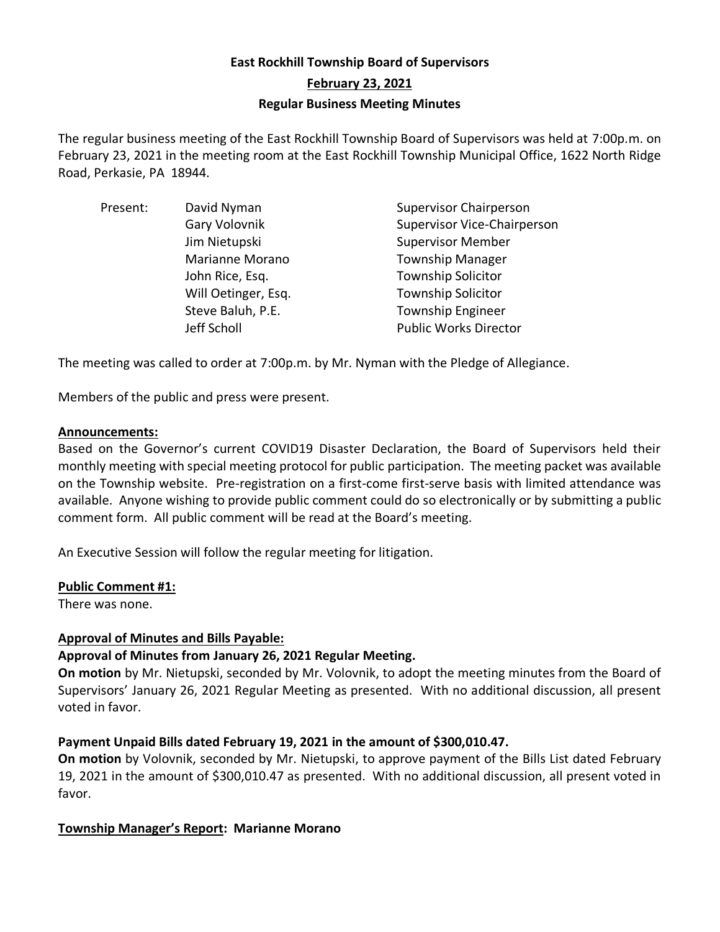# **East Rockhill Township Board of Supervisors February 23, 2021 Regular Business Meeting Minutes**

The regular business meeting of the East Rockhill Township Board of Supervisors was held at 7:00p.m. on February 23, 2021 in the meeting room at the East Rockhill Township Municipal Office, 1622 North Ridge Road, Perkasie, PA 18944.

| Present: | David Nyman         | <b>Supervisor Chairperson</b>      |
|----------|---------------------|------------------------------------|
|          | Gary Volovnik       | <b>Supervisor Vice-Chairperson</b> |
|          | Jim Nietupski       | <b>Supervisor Member</b>           |
|          | Marianne Morano     | <b>Township Manager</b>            |
|          | John Rice, Esq.     | <b>Township Solicitor</b>          |
|          | Will Oetinger, Esq. | <b>Township Solicitor</b>          |
|          | Steve Baluh, P.E.   | <b>Township Engineer</b>           |
|          | Jeff Scholl         | <b>Public Works Director</b>       |

The meeting was called to order at 7:00p.m. by Mr. Nyman with the Pledge of Allegiance.

Members of the public and press were present.

### **Announcements:**

Based on the Governor's current COVID19 Disaster Declaration, the Board of Supervisors held their monthly meeting with special meeting protocol for public participation. The meeting packet was available on the Township website. Pre-registration on a first-come first-serve basis with limited attendance was available. Anyone wishing to provide public comment could do so electronically or by submitting a public comment form. All public comment will be read at the Board's meeting.

An Executive Session will follow the regular meeting for litigation.

### **Public Comment #1:**

There was none.

## **Approval of Minutes and Bills Payable:**

## **Approval of Minutes from January 26, 2021 Regular Meeting.**

**On motion** by Mr. Nietupski, seconded by Mr. Volovnik, to adopt the meeting minutes from the Board of Supervisors' January 26, 2021 Regular Meeting as presented. With no additional discussion, all present voted in favor.

### **Payment Unpaid Bills dated February 19, 2021 in the amount of \$300,010.47.**

**On motion** by Volovnik, seconded by Mr. Nietupski, to approve payment of the Bills List dated February 19, 2021 in the amount of \$300,010.47 as presented. With no additional discussion, all present voted in favor.

## **Township Manager's Report: Marianne Morano**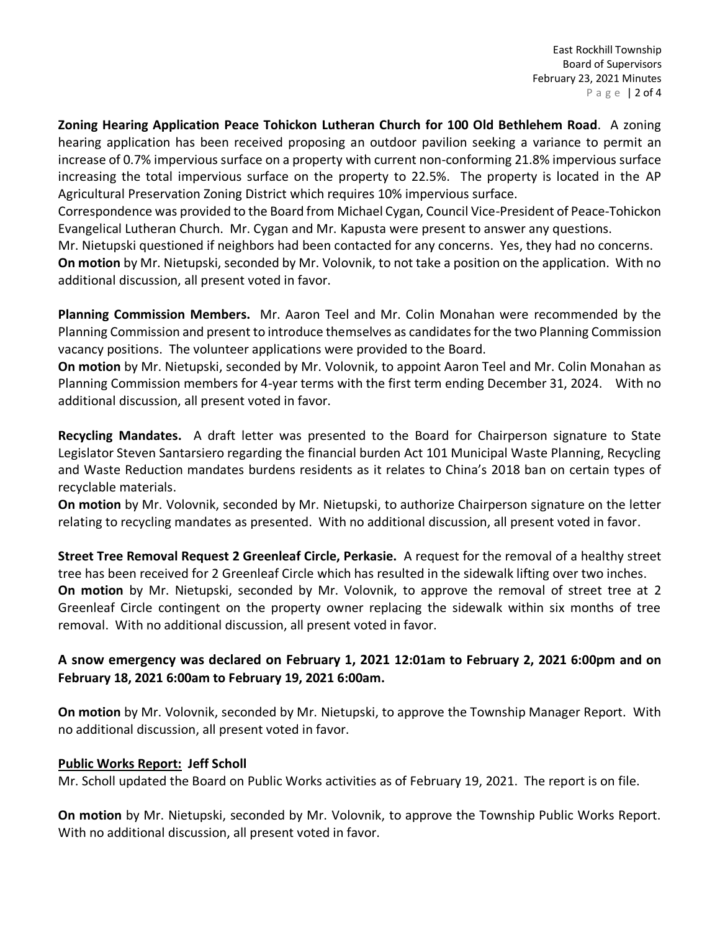East Rockhill Township Board of Supervisors February 23, 2021 Minutes P a g e | 2 of 4

**Zoning Hearing Application Peace Tohickon Lutheran Church for 100 Old Bethlehem Road**. A zoning hearing application has been received proposing an outdoor pavilion seeking a variance to permit an increase of 0.7% impervious surface on a property with current non-conforming 21.8% impervious surface increasing the total impervious surface on the property to 22.5%. The property is located in the AP Agricultural Preservation Zoning District which requires 10% impervious surface.

Correspondence was provided to the Board from Michael Cygan, Council Vice-President of Peace-Tohickon Evangelical Lutheran Church. Mr. Cygan and Mr. Kapusta were present to answer any questions.

Mr. Nietupski questioned if neighbors had been contacted for any concerns. Yes, they had no concerns. **On motion** by Mr. Nietupski, seconded by Mr. Volovnik, to not take a position on the application. With no additional discussion, all present voted in favor.

**Planning Commission Members.** Mr. Aaron Teel and Mr. Colin Monahan were recommended by the Planning Commission and present to introduce themselves as candidatesfor the two Planning Commission vacancy positions. The volunteer applications were provided to the Board.

**On motion** by Mr. Nietupski, seconded by Mr. Volovnik, to appoint Aaron Teel and Mr. Colin Monahan as Planning Commission members for 4-year terms with the first term ending December 31, 2024. With no additional discussion, all present voted in favor.

**Recycling Mandates.** A draft letter was presented to the Board for Chairperson signature to State Legislator Steven Santarsiero regarding the financial burden Act 101 Municipal Waste Planning, Recycling and Waste Reduction mandates burdens residents as it relates to China's 2018 ban on certain types of recyclable materials.

**On motion** by Mr. Volovnik, seconded by Mr. Nietupski, to authorize Chairperson signature on the letter relating to recycling mandates as presented. With no additional discussion, all present voted in favor.

**Street Tree Removal Request 2 Greenleaf Circle, Perkasie.** A request for the removal of a healthy street tree has been received for 2 Greenleaf Circle which has resulted in the sidewalk lifting over two inches. **On motion** by Mr. Nietupski, seconded by Mr. Volovnik, to approve the removal of street tree at 2 Greenleaf Circle contingent on the property owner replacing the sidewalk within six months of tree removal. With no additional discussion, all present voted in favor.

## **A snow emergency was declared on February 1, 2021 12:01am to February 2, 2021 6:00pm and on February 18, 2021 6:00am to February 19, 2021 6:00am.**

**On motion** by Mr. Volovnik, seconded by Mr. Nietupski, to approve the Township Manager Report. With no additional discussion, all present voted in favor.

## **Public Works Report: Jeff Scholl**

Mr. Scholl updated the Board on Public Works activities as of February 19, 2021. The report is on file.

**On motion** by Mr. Nietupski, seconded by Mr. Volovnik, to approve the Township Public Works Report. With no additional discussion, all present voted in favor.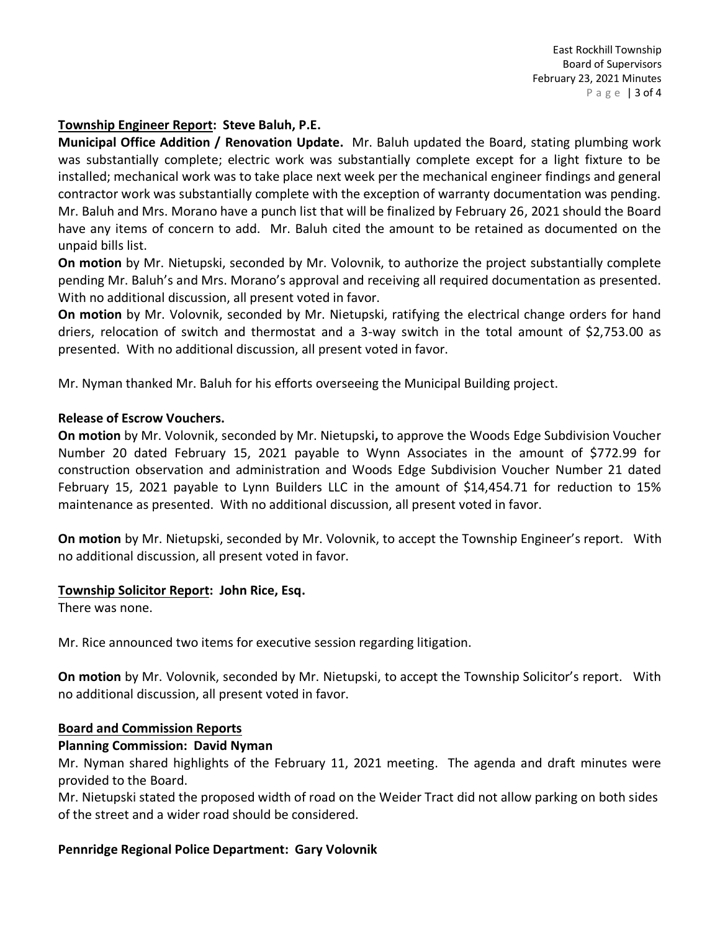#### **Township Engineer Report: Steve Baluh, P.E.**

**Municipal Office Addition / Renovation Update.** Mr. Baluh updated the Board, stating plumbing work was substantially complete; electric work was substantially complete except for a light fixture to be installed; mechanical work was to take place next week per the mechanical engineer findings and general contractor work was substantially complete with the exception of warranty documentation was pending. Mr. Baluh and Mrs. Morano have a punch list that will be finalized by February 26, 2021 should the Board have any items of concern to add. Mr. Baluh cited the amount to be retained as documented on the unpaid bills list.

**On motion** by Mr. Nietupski, seconded by Mr. Volovnik, to authorize the project substantially complete pending Mr. Baluh's and Mrs. Morano's approval and receiving all required documentation as presented. With no additional discussion, all present voted in favor.

**On motion** by Mr. Volovnik, seconded by Mr. Nietupski, ratifying the electrical change orders for hand driers, relocation of switch and thermostat and a 3-way switch in the total amount of \$2,753.00 as presented. With no additional discussion, all present voted in favor.

Mr. Nyman thanked Mr. Baluh for his efforts overseeing the Municipal Building project.

#### **Release of Escrow Vouchers.**

**On motion** by Mr. Volovnik, seconded by Mr. Nietupski**,** to approve the Woods Edge Subdivision Voucher Number 20 dated February 15, 2021 payable to Wynn Associates in the amount of \$772.99 for construction observation and administration and Woods Edge Subdivision Voucher Number 21 dated February 15, 2021 payable to Lynn Builders LLC in the amount of \$14,454.71 for reduction to 15% maintenance as presented. With no additional discussion, all present voted in favor.

**On motion** by Mr. Nietupski, seconded by Mr. Volovnik, to accept the Township Engineer's report. With no additional discussion, all present voted in favor.

#### **Township Solicitor Report: John Rice, Esq.**

There was none.

Mr. Rice announced two items for executive session regarding litigation.

**On motion** by Mr. Volovnik, seconded by Mr. Nietupski, to accept the Township Solicitor's report. With no additional discussion, all present voted in favor.

#### **Board and Commission Reports**

### **Planning Commission: David Nyman**

Mr. Nyman shared highlights of the February 11, 2021 meeting. The agenda and draft minutes were provided to the Board.

Mr. Nietupski stated the proposed width of road on the Weider Tract did not allow parking on both sides of the street and a wider road should be considered.

### **Pennridge Regional Police Department: Gary Volovnik**